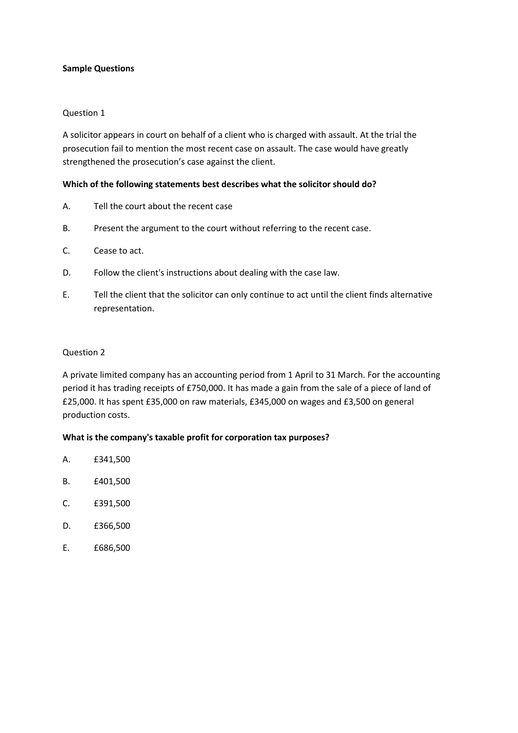## **Sample Questions**

### Question 1

A solicitor appears in court on behalf of a client who is charged with assault. At the trial the prosecution fail to mention the most recent case on assault. The case would have greatly strengthened the prosecution's case against the client.

#### **Which of the following statements best describes what the solicitor should do?**

- A. Tell the court about the recent case
- B. Present the argument to the court without referring to the recent case.
- C. Cease to act.
- D. Follow the client's instructions about dealing with the case law.
- E. Tell the client that the solicitor can only continue to act until the client finds alternative representation.

# Question 2

A private limited company has an accounting period from 1 April to 31 March. For the accounting period it has trading receipts of £750,000. It has made a gain from the sale of a piece of land of £25,000. It has spent £35,000 on raw materials, £345,000 on wages and £3,500 on general production costs.

#### **What is the company's taxable profit for corporation tax purposes?**

- A. £341,500
- B. £401,500
- C. £391,500
- D. £366,500
- E. £686,500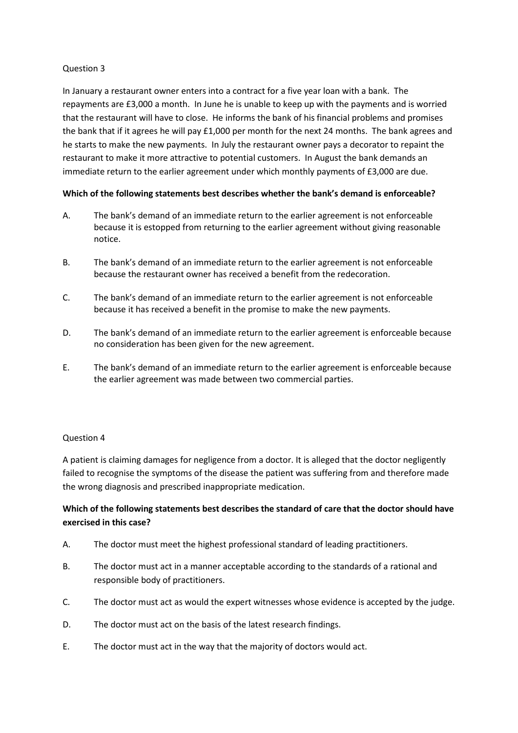In January a restaurant owner enters into a contract for a five year loan with a bank. The repayments are £3,000 a month. In June he is unable to keep up with the payments and is worried that the restaurant will have to close. He informs the bank of his financial problems and promises the bank that if it agrees he will pay £1,000 per month for the next 24 months. The bank agrees and he starts to make the new payments. In July the restaurant owner pays a decorator to repaint the restaurant to make it more attractive to potential customers. In August the bank demands an immediate return to the earlier agreement under which monthly payments of £3,000 are due.

# **Which of the following statements best describes whether the bank's demand is enforceable?**

- A. The bank's demand of an immediate return to the earlier agreement is not enforceable because it is estopped from returning to the earlier agreement without giving reasonable notice.
- B. The bank's demand of an immediate return to the earlier agreement is not enforceable because the restaurant owner has received a benefit from the redecoration.
- C. The bank's demand of an immediate return to the earlier agreement is not enforceable because it has received a benefit in the promise to make the new payments.
- D. The bank's demand of an immediate return to the earlier agreement is enforceable because no consideration has been given for the new agreement.
- E. The bank's demand of an immediate return to the earlier agreement is enforceable because the earlier agreement was made between two commercial parties.

# Question 4

A patient is claiming damages for negligence from a doctor. It is alleged that the doctor negligently failed to recognise the symptoms of the disease the patient was suffering from and therefore made the wrong diagnosis and prescribed inappropriate medication.

# **Which of the following statements best describes the standard of care that the doctor should have exercised in this case?**

- A. The doctor must meet the highest professional standard of leading practitioners.
- B. The doctor must act in a manner acceptable according to the standards of a rational and responsible body of practitioners.
- C. The doctor must act as would the expert witnesses whose evidence is accepted by the judge.
- D. The doctor must act on the basis of the latest research findings.
- E. The doctor must act in the way that the majority of doctors would act.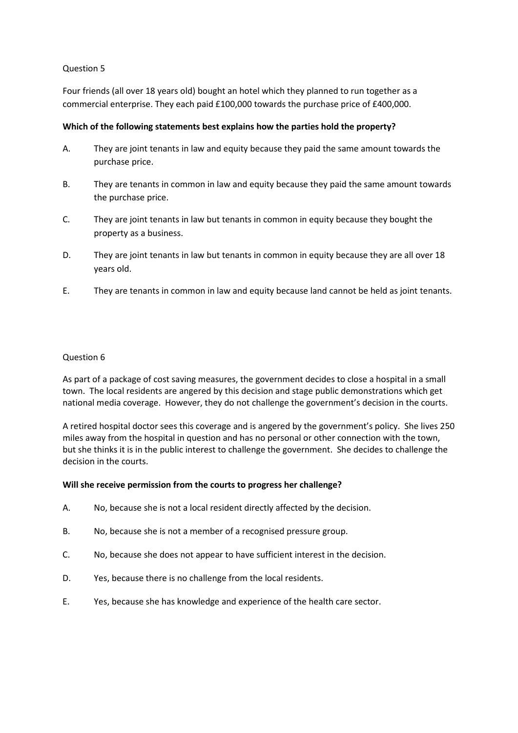Four friends (all over 18 years old) bought an hotel which they planned to run together as a commercial enterprise. They each paid £100,000 towards the purchase price of £400,000.

# **Which of the following statements best explains how the parties hold the property?**

- A. They are joint tenants in law and equity because they paid the same amount towards the purchase price.
- B. They are tenants in common in law and equity because they paid the same amount towards the purchase price.
- C. They are joint tenants in law but tenants in common in equity because they bought the property as a business.
- D. They are joint tenants in law but tenants in common in equity because they are all over 18 years old.
- E. They are tenants in common in law and equity because land cannot be held as joint tenants.

# Question 6

As part of a package of cost saving measures, the government decides to close a hospital in a small town. The local residents are angered by this decision and stage public demonstrations which get national media coverage. However, they do not challenge the government's decision in the courts.

A retired hospital doctor sees this coverage and is angered by the government's policy. She lives 250 miles away from the hospital in question and has no personal or other connection with the town, but she thinks it is in the public interest to challenge the government. She decides to challenge the decision in the courts.

#### **Will she receive permission from the courts to progress her challenge?**

- A. No, because she is not a local resident directly affected by the decision.
- B. No, because she is not a member of a recognised pressure group.
- C. No, because she does not appear to have sufficient interest in the decision.
- D. Yes, because there is no challenge from the local residents.
- E. Yes, because she has knowledge and experience of the health care sector.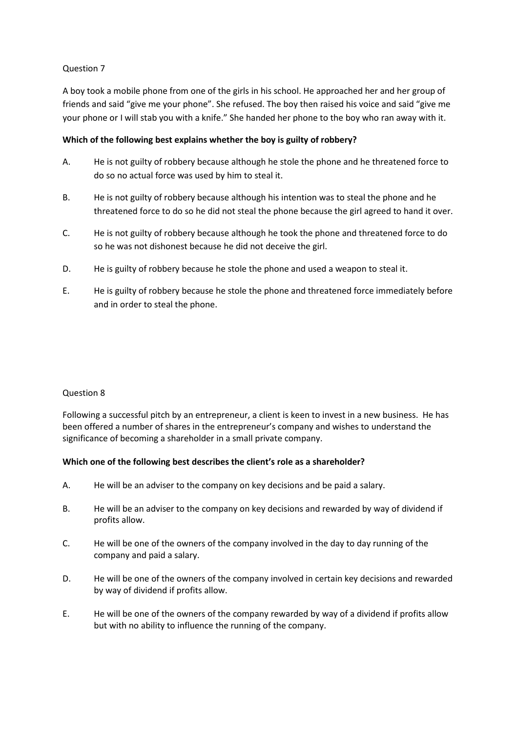A boy took a mobile phone from one of the girls in his school. He approached her and her group of friends and said "give me your phone". She refused. The boy then raised his voice and said "give me your phone or I will stab you with a knife." She handed her phone to the boy who ran away with it.

# **Which of the following best explains whether the boy is guilty of robbery?**

- A. He is not guilty of robbery because although he stole the phone and he threatened force to do so no actual force was used by him to steal it.
- B. He is not guilty of robbery because although his intention was to steal the phone and he threatened force to do so he did not steal the phone because the girl agreed to hand it over.
- C. He is not guilty of robbery because although he took the phone and threatened force to do so he was not dishonest because he did not deceive the girl.
- D. He is guilty of robbery because he stole the phone and used a weapon to steal it.
- E. He is guilty of robbery because he stole the phone and threatened force immediately before and in order to steal the phone.

#### Question 8

Following a successful pitch by an entrepreneur, a client is keen to invest in a new business. He has been offered a number of shares in the entrepreneur's company and wishes to understand the significance of becoming a shareholder in a small private company.

#### **Which one of the following best describes the client's role as a shareholder?**

- A. He will be an adviser to the company on key decisions and be paid a salary.
- B. He will be an adviser to the company on key decisions and rewarded by way of dividend if profits allow.
- C. He will be one of the owners of the company involved in the day to day running of the company and paid a salary.
- D. He will be one of the owners of the company involved in certain key decisions and rewarded by way of dividend if profits allow.
- E. He will be one of the owners of the company rewarded by way of a dividend if profits allow but with no ability to influence the running of the company.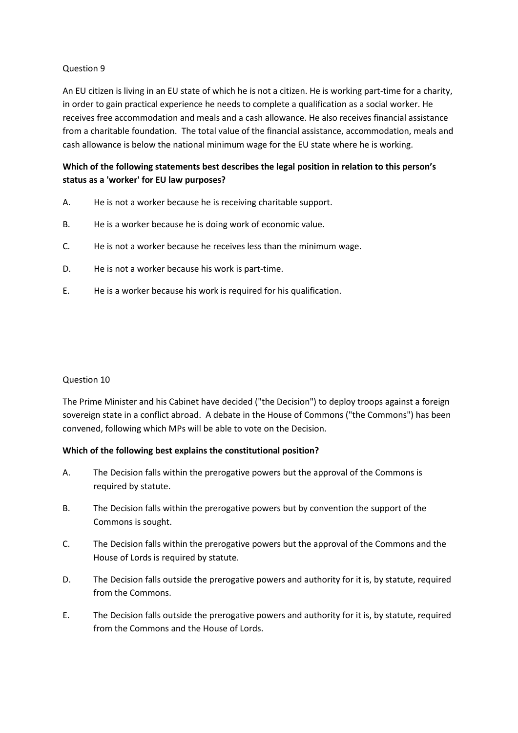An EU citizen is living in an EU state of which he is not a citizen. He is working part-time for a charity, in order to gain practical experience he needs to complete a qualification as a social worker. He receives free accommodation and meals and a cash allowance. He also receives financial assistance from a charitable foundation. The total value of the financial assistance, accommodation, meals and cash allowance is below the national minimum wage for the EU state where he is working.

# **Which of the following statements best describes the legal position in relation to this person's status as a 'worker' for EU law purposes?**

- A. He is not a worker because he is receiving charitable support.
- B. He is a worker because he is doing work of economic value.
- C. He is not a worker because he receives less than the minimum wage.
- D. He is not a worker because his work is part-time.
- E. He is a worker because his work is required for his qualification.

#### Question 10

The Prime Minister and his Cabinet have decided ("the Decision") to deploy troops against a foreign sovereign state in a conflict abroad. A debate in the House of Commons ("the Commons") has been convened, following which MPs will be able to vote on the Decision.

# **Which of the following best explains the constitutional position?**

- A. The Decision falls within the prerogative powers but the approval of the Commons is required by statute.
- B. The Decision falls within the prerogative powers but by convention the support of the Commons is sought.
- C. The Decision falls within the prerogative powers but the approval of the Commons and the House of Lords is required by statute.
- D. The Decision falls outside the prerogative powers and authority for it is, by statute, required from the Commons.
- E. The Decision falls outside the prerogative powers and authority for it is, by statute, required from the Commons and the House of Lords.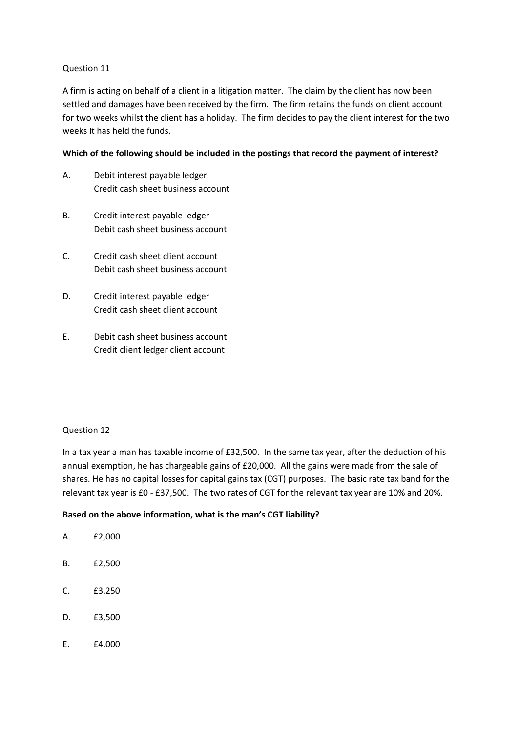A firm is acting on behalf of a client in a litigation matter. The claim by the client has now been settled and damages have been received by the firm. The firm retains the funds on client account for two weeks whilst the client has a holiday. The firm decides to pay the client interest for the two weeks it has held the funds.

# **Which of the following should be included in the postings that record the payment of interest?**

- A. Debit interest payable ledger Credit cash sheet business account
- B. Credit interest payable ledger Debit cash sheet business account
- C. Credit cash sheet client account Debit cash sheet business account
- D. Credit interest payable ledger Credit cash sheet client account
- E. Debit cash sheet business account Credit client ledger client account

# Question 12

In a tax year a man has taxable income of £32,500. In the same tax year, after the deduction of his annual exemption, he has chargeable gains of £20,000. All the gains were made from the sale of shares. He has no capital losses for capital gains tax (CGT) purposes. The basic rate tax band for the relevant tax year is £0 - £37,500. The two rates of CGT for the relevant tax year are 10% and 20%.

# **Based on the above information, what is the man's CGT liability?**

- A. £2,000
- B. £2,500
- C. £3,250
- D. £3,500
- E. £4,000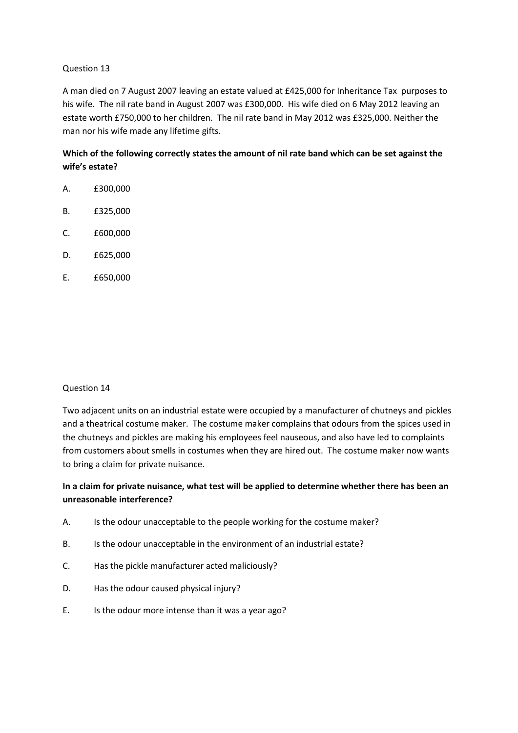A man died on 7 August 2007 leaving an estate valued at £425,000 for Inheritance Tax purposes to his wife. The nil rate band in August 2007 was £300,000. His wife died on 6 May 2012 leaving an estate worth £750,000 to her children. The nil rate band in May 2012 was £325,000. Neither the man nor his wife made any lifetime gifts.

# **Which of the following correctly states the amount of nil rate band which can be set against the wife's estate?**

- A. £300,000
- B. £325,000
- C. £600,000
- D. £625,000
- E. £650,000

#### Question 14

Two adjacent units on an industrial estate were occupied by a manufacturer of chutneys and pickles and a theatrical costume maker. The costume maker complains that odours from the spices used in the chutneys and pickles are making his employees feel nauseous, and also have led to complaints from customers about smells in costumes when they are hired out. The costume maker now wants to bring a claim for private nuisance.

# **In a claim for private nuisance, what test will be applied to determine whether there has been an unreasonable interference?**

- A. Is the odour unacceptable to the people working for the costume maker?
- B. Is the odour unacceptable in the environment of an industrial estate?
- C. Has the pickle manufacturer acted maliciously?
- D. Has the odour caused physical injury?
- E. Is the odour more intense than it was a year ago?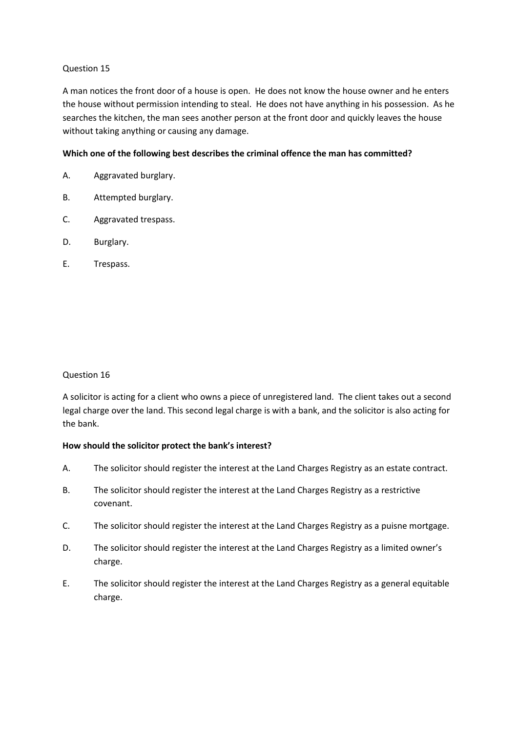A man notices the front door of a house is open. He does not know the house owner and he enters the house without permission intending to steal. He does not have anything in his possession. As he searches the kitchen, the man sees another person at the front door and quickly leaves the house without taking anything or causing any damage.

# **Which one of the following best describes the criminal offence the man has committed?**

- A. Aggravated burglary.
- B. Attempted burglary.
- C. Aggravated trespass.
- D. Burglary.
- E. Trespass.

#### Question 16

A solicitor is acting for a client who owns a piece of unregistered land. The client takes out a second legal charge over the land. This second legal charge is with a bank, and the solicitor is also acting for the bank.

#### **How should the solicitor protect the bank's interest?**

- A. The solicitor should register the interest at the Land Charges Registry as an estate contract.
- B. The solicitor should register the interest at the Land Charges Registry as a restrictive covenant.
- C. The solicitor should register the interest at the Land Charges Registry as a puisne mortgage.
- D. The solicitor should register the interest at the Land Charges Registry as a limited owner's charge.
- E. The solicitor should register the interest at the Land Charges Registry as a general equitable charge.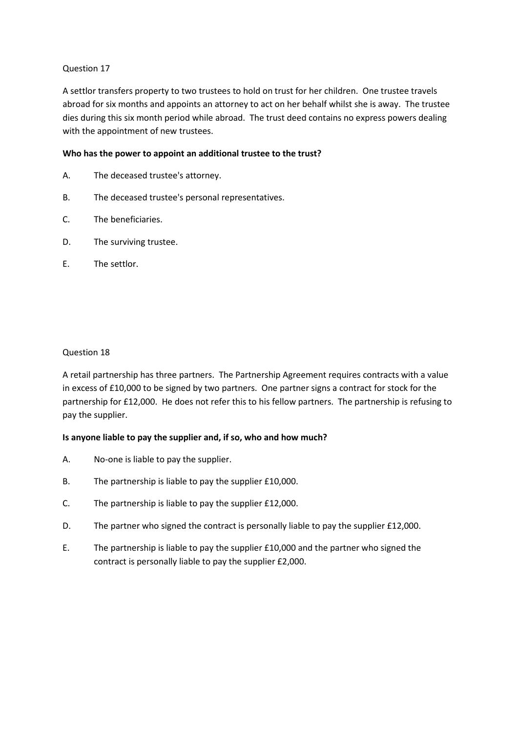A settlor transfers property to two trustees to hold on trust for her children. One trustee travels abroad for six months and appoints an attorney to act on her behalf whilst she is away. The trustee dies during this six month period while abroad. The trust deed contains no express powers dealing with the appointment of new trustees.

# **Who has the power to appoint an additional trustee to the trust?**

- A. The deceased trustee's attorney.
- B. The deceased trustee's personal representatives.
- C. The beneficiaries.
- D. The surviving trustee.
- E. The settlor.

# Question 18

A retail partnership has three partners. The Partnership Agreement requires contracts with a value in excess of £10,000 to be signed by two partners. One partner signs a contract for stock for the partnership for £12,000. He does not refer this to his fellow partners. The partnership is refusing to pay the supplier.

#### **Is anyone liable to pay the supplier and, if so, who and how much?**

- A. No-one is liable to pay the supplier.
- B. The partnership is liable to pay the supplier £10,000.
- C. The partnership is liable to pay the supplier £12,000.
- D. The partner who signed the contract is personally liable to pay the supplier £12,000.
- E. The partnership is liable to pay the supplier £10,000 and the partner who signed the contract is personally liable to pay the supplier £2,000.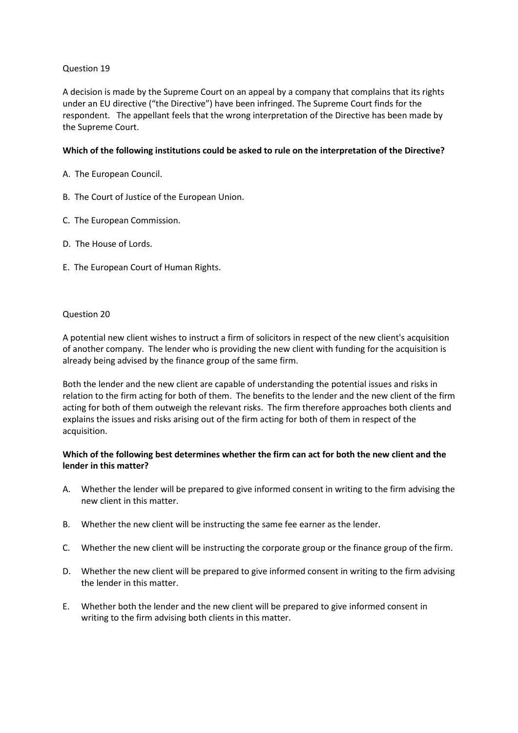A decision is made by the Supreme Court on an appeal by a company that complains that its rights under an EU directive ("the Directive") have been infringed. The Supreme Court finds for the respondent. The appellant feels that the wrong interpretation of the Directive has been made by the Supreme Court.

# **Which of the following institutions could be asked to rule on the interpretation of the Directive?**

- A. The European Council.
- B. The Court of Justice of the European Union.
- C. The European Commission.
- D. The House of Lords.
- E. The European Court of Human Rights.

#### Question 20

A potential new client wishes to instruct a firm of solicitors in respect of the new client's acquisition of another company. The lender who is providing the new client with funding for the acquisition is already being advised by the finance group of the same firm.

Both the lender and the new client are capable of understanding the potential issues and risks in relation to the firm acting for both of them. The benefits to the lender and the new client of the firm acting for both of them outweigh the relevant risks. The firm therefore approaches both clients and explains the issues and risks arising out of the firm acting for both of them in respect of the acquisition.

# **Which of the following best determines whether the firm can act for both the new client and the lender in this matter?**

- A. Whether the lender will be prepared to give informed consent in writing to the firm advising the new client in this matter.
- B. Whether the new client will be instructing the same fee earner as the lender.
- C. Whether the new client will be instructing the corporate group or the finance group of the firm.
- D. Whether the new client will be prepared to give informed consent in writing to the firm advising the lender in this matter.
- E. Whether both the lender and the new client will be prepared to give informed consent in writing to the firm advising both clients in this matter.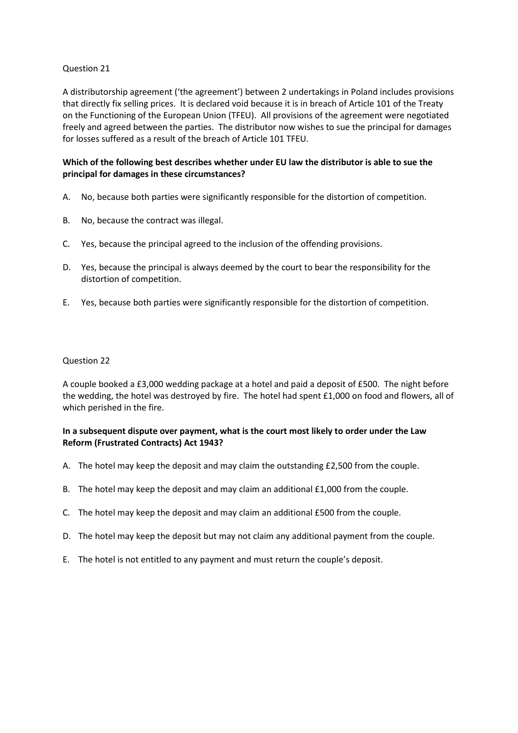A distributorship agreement ('the agreement') between 2 undertakings in Poland includes provisions that directly fix selling prices. It is declared void because it is in breach of Article 101 of the Treaty on the Functioning of the European Union (TFEU). All provisions of the agreement were negotiated freely and agreed between the parties. The distributor now wishes to sue the principal for damages for losses suffered as a result of the breach of Article 101 TFEU.

# **Which of the following best describes whether under EU law the distributor is able to sue the principal for damages in these circumstances?**

- A. No, because both parties were significantly responsible for the distortion of competition.
- B. No, because the contract was illegal.
- C. Yes, because the principal agreed to the inclusion of the offending provisions.
- D. Yes, because the principal is always deemed by the court to bear the responsibility for the distortion of competition.
- E. Yes, because both parties were significantly responsible for the distortion of competition.

# Question 22

A couple booked a £3,000 wedding package at a hotel and paid a deposit of £500. The night before the wedding, the hotel was destroyed by fire. The hotel had spent £1,000 on food and flowers, all of which perished in the fire.

# **In a subsequent dispute over payment, what is the court most likely to order under the Law Reform (Frustrated Contracts) Act 1943?**

- A. The hotel may keep the deposit and may claim the outstanding £2,500 from the couple.
- B. The hotel may keep the deposit and may claim an additional £1,000 from the couple.
- C. The hotel may keep the deposit and may claim an additional £500 from the couple.
- D. The hotel may keep the deposit but may not claim any additional payment from the couple.
- E. The hotel is not entitled to any payment and must return the couple's deposit.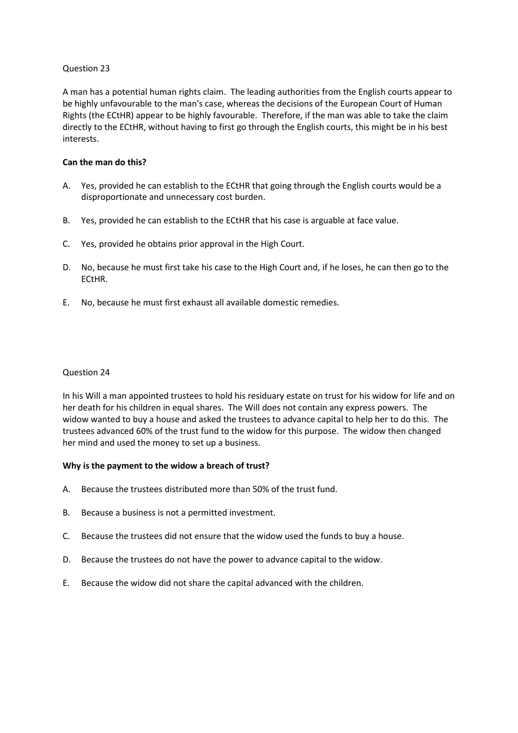A man has a potential human rights claim. The leading authorities from the English courts appear to be highly unfavourable to the man's case, whereas the decisions of the European Court of Human Rights (the ECtHR) appear to be highly favourable. Therefore, if the man was able to take the claim directly to the ECtHR, without having to first go through the English courts, this might be in his best interests.

### **Can the man do this?**

- A. Yes, provided he can establish to the ECtHR that going through the English courts would be a disproportionate and unnecessary cost burden.
- B. Yes, provided he can establish to the ECtHR that his case is arguable at face value.
- C. Yes, provided he obtains prior approval in the High Court.
- D. No, because he must first take his case to the High Court and, if he loses, he can then go to the ECtHR.
- E. No, because he must first exhaust all available domestic remedies.

### Question 24

In his Will a man appointed trustees to hold his residuary estate on trust for his widow for life and on her death for his children in equal shares. The Will does not contain any express powers. The widow wanted to buy a house and asked the trustees to advance capital to help her to do this. The trustees advanced 60% of the trust fund to the widow for this purpose. The widow then changed her mind and used the money to set up a business.

#### **Why is the payment to the widow a breach of trust?**

- A. Because the trustees distributed more than 50% of the trust fund.
- B. Because a business is not a permitted investment.
- C. Because the trustees did not ensure that the widow used the funds to buy a house.
- D. Because the trustees do not have the power to advance capital to the widow.
- E. Because the widow did not share the capital advanced with the children.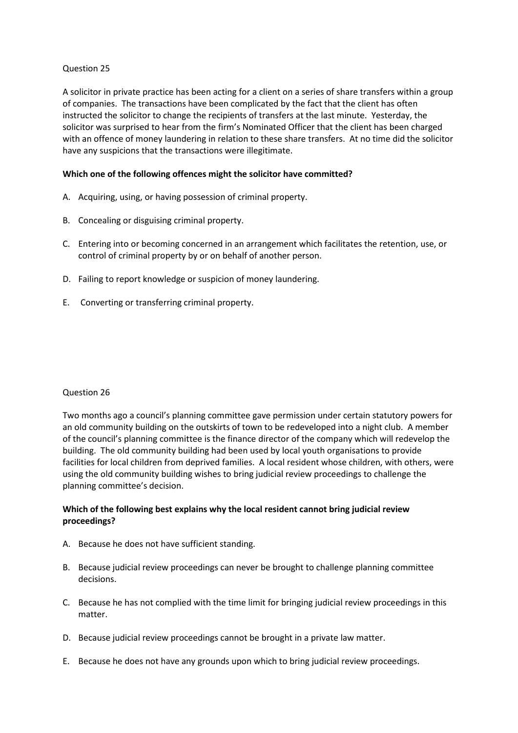A solicitor in private practice has been acting for a client on a series of share transfers within a group of companies. The transactions have been complicated by the fact that the client has often instructed the solicitor to change the recipients of transfers at the last minute. Yesterday, the solicitor was surprised to hear from the firm's Nominated Officer that the client has been charged with an offence of money laundering in relation to these share transfers. At no time did the solicitor have any suspicions that the transactions were illegitimate.

# **Which one of the following offences might the solicitor have committed?**

- A. Acquiring, using, or having possession of criminal property.
- B. Concealing or disguising criminal property.
- C. Entering into or becoming concerned in an arrangement which facilitates the retention, use, or control of criminal property by or on behalf of another person.
- D. Failing to report knowledge or suspicion of money laundering.
- E. Converting or transferring criminal property.

#### Question 26

Two months ago a council's planning committee gave permission under certain statutory powers for an old community building on the outskirts of town to be redeveloped into a night club. A member of the council's planning committee is the finance director of the company which will redevelop the building. The old community building had been used by local youth organisations to provide facilities for local children from deprived families. A local resident whose children, with others, were using the old community building wishes to bring judicial review proceedings to challenge the planning committee's decision.

# **Which of the following best explains why the local resident cannot bring judicial review proceedings?**

- A. Because he does not have sufficient standing.
- B. Because judicial review proceedings can never be brought to challenge planning committee decisions.
- C. Because he has not complied with the time limit for bringing judicial review proceedings in this matter.
- D. Because judicial review proceedings cannot be brought in a private law matter.
- E. Because he does not have any grounds upon which to bring judicial review proceedings.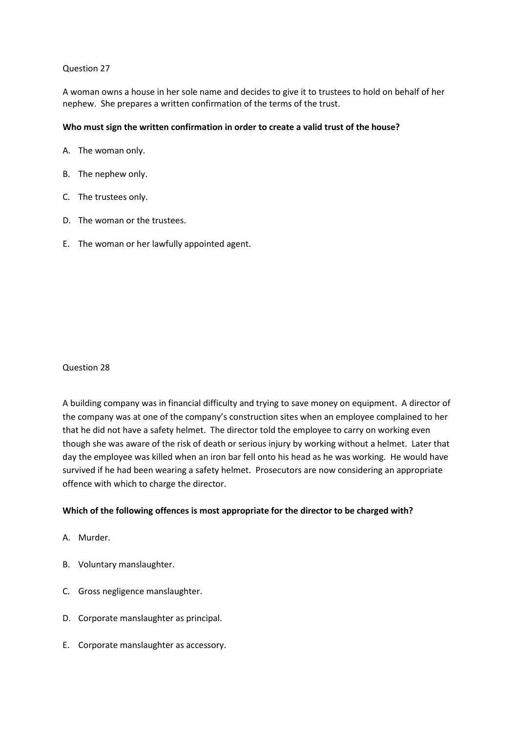A woman owns a house in her sole name and decides to give it to trustees to hold on behalf of her nephew. She prepares a written confirmation of the terms of the trust.

# **Who must sign the written confirmation in order to create a valid trust of the house?**

- A. The woman only.
- B. The nephew only.
- C. The trustees only.
- D. The woman or the trustees.
- E. The woman or her lawfully appointed agent.

#### Question 28

A building company was in financial difficulty and trying to save money on equipment. A director of the company was at one of the company's construction sites when an employee complained to her that he did not have a safety helmet. The director told the employee to carry on working even though she was aware of the risk of death or serious injury by working without a helmet. Later that day the employee was killed when an iron bar fell onto his head as he was working. He would have survived if he had been wearing a safety helmet. Prosecutors are now considering an appropriate offence with which to charge the director.

#### **Which of the following offences is most appropriate for the director to be charged with?**

- A. Murder.
- B. Voluntary manslaughter.
- C. Gross negligence manslaughter.
- D. Corporate manslaughter as principal.
- E. Corporate manslaughter as accessory.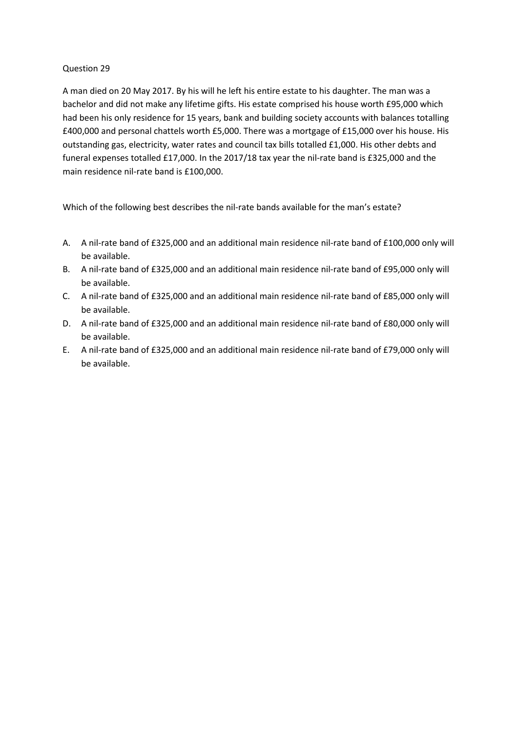A man died on 20 May 2017. By his will he left his entire estate to his daughter. The man was a bachelor and did not make any lifetime gifts. His estate comprised his house worth £95,000 which had been his only residence for 15 years, bank and building society accounts with balances totalling £400,000 and personal chattels worth £5,000. There was a mortgage of £15,000 over his house. His outstanding gas, electricity, water rates and council tax bills totalled £1,000. His other debts and funeral expenses totalled £17,000. In the 2017/18 tax year the nil-rate band is £325,000 and the main residence nil-rate band is £100,000.

Which of the following best describes the nil-rate bands available for the man's estate?

- A. A nil-rate band of £325,000 and an additional main residence nil-rate band of £100,000 only will be available.
- B. A nil-rate band of £325,000 and an additional main residence nil-rate band of £95,000 only will be available.
- C. A nil-rate band of £325,000 and an additional main residence nil-rate band of £85,000 only will be available.
- D. A nil-rate band of £325,000 and an additional main residence nil-rate band of £80,000 only will be available.
- E. A nil-rate band of £325,000 and an additional main residence nil-rate band of £79,000 only will be available.